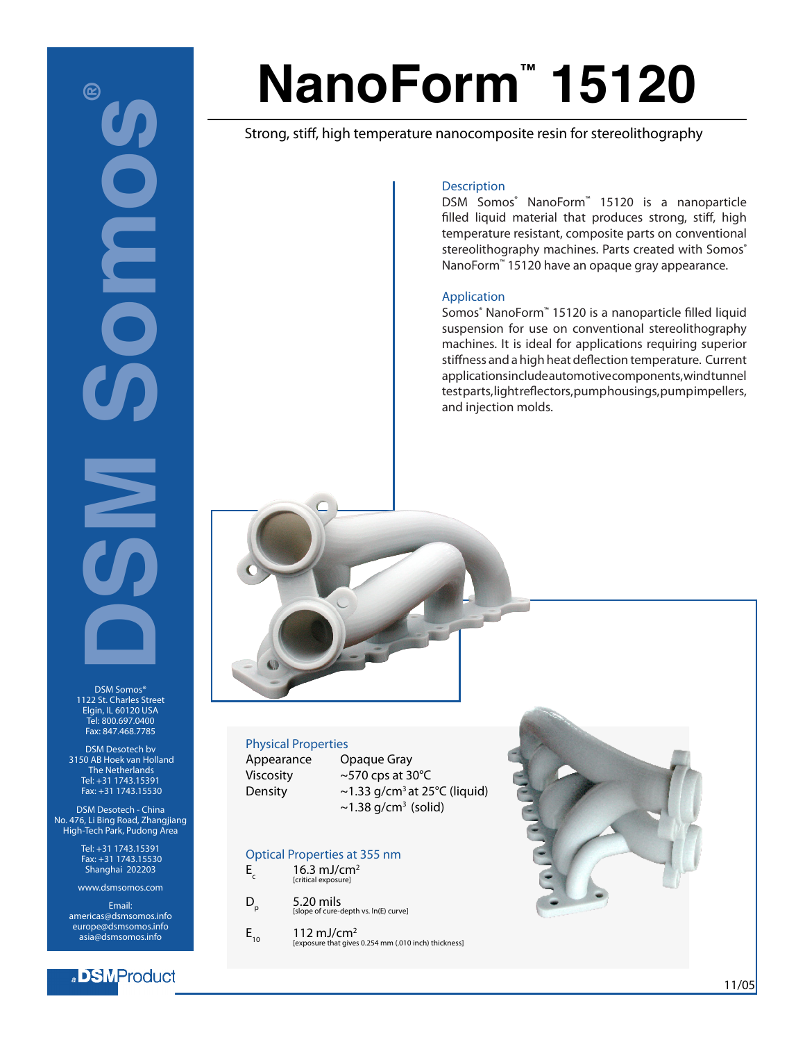# **DSM SOME** ඬ UI DI

DSM Somos® 1122 St. Charles Street Elgin, IL 60120 USA Tel: 800.697.0400 Fax: 847.468.7785

DSM Desotech bv 3150 AB Hoek van Holland The Netherlands Tel: +31 1743.15391 Fax: +31 1743.15530

DSM Desotech - China No. 476, Li Bing Road, Zhangjiang High-Tech Park, Pudong Area

> Tel: +31 1743.15391 Fax: +31 1743.15530 Shanghai 202203

www.dsmsomos.com

Email: americas@dsmsomos.info europe@dsmsomos.info asia@dsmsomos.info

### a BMProduct

# **NanoForm™ 15120**

Strong, stiff, high temperature nanocomposite resin for stereolithography

### **Description**

DSM Somos® NanoForm<sup>™</sup> 15120 is a nanoparticle filled liquid material that produces strong, stiff, high temperature resistant, composite parts on conventional stereolithography machines. Parts created with Somos® NanoForm<sup>™</sup> 15120 have an opaque gray appearance.

### Application

Somos® NanoForm™ 15120 is a nanoparticle filled liquid suspension for use on conventional stereolithography machines. It is ideal for applications requiring superior stiffness and a high heat deflection temperature. Current applications include automotive components, wind tunnel test parts, light reflectors, pump housings, pump impellers, and injection molds.

### Physical Properties

Appearance Opaque Gray

Viscosity ~570 cps at 30°C Density  $\sim$  1.33 g/cm<sup>3</sup> at 25°C (liquid)  $\sim$ 1.38 g/cm<sup>3</sup> (solid)

### Optical Properties at 355 nm

- $E_1$  16.3 mJ/cm<sup>2</sup> [critical exposure]
- $D_p$  5.20 mils [slope of cure-depth vs. ln(E) curve]
- $E_{10}$  112 mJ/cm<sup>2</sup> [exposure that gives 0.254 mm (.010 inch) thickness]

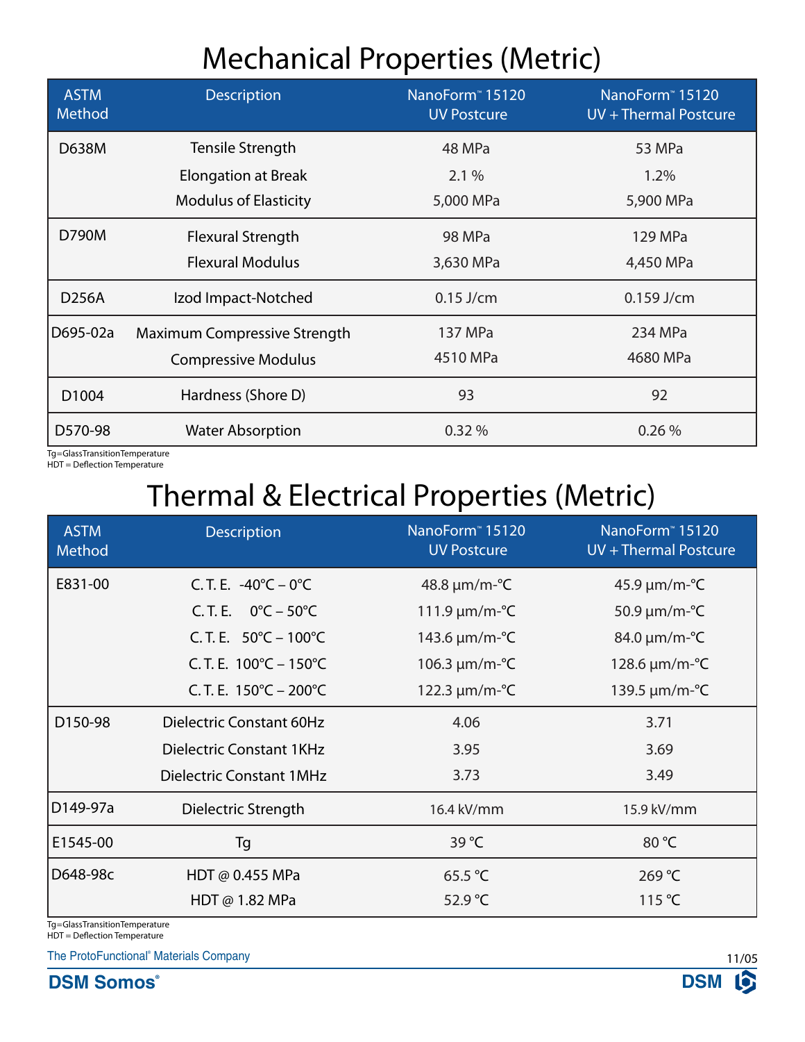## Mechanical Properties (Metric)

| <b>ASTM</b><br>Method | <b>Description</b>           | NanoForm <sup>™</sup> 15120<br><b>UV Postcure</b> | NanoForm <sup>™</sup> 15120<br>UV + Thermal Postcure |
|-----------------------|------------------------------|---------------------------------------------------|------------------------------------------------------|
| D638M                 | Tensile Strength             | 48 MPa                                            | 53 MPa                                               |
|                       | <b>Elongation at Break</b>   | 2.1%                                              | 1.2%                                                 |
|                       | <b>Modulus of Elasticity</b> | 5,000 MPa                                         | 5,900 MPa                                            |
| D790M                 | <b>Flexural Strength</b>     | 98 MPa                                            | 129 MPa                                              |
|                       | <b>Flexural Modulus</b>      | 3,630 MPa                                         | 4,450 MPa                                            |
| D256A                 | Izod Impact-Notched          | $0.15$ J/cm                                       | $0.159$ J/cm                                         |
| D695-02a              | Maximum Compressive Strength | 137 MPa                                           | 234 MPa                                              |
|                       | <b>Compressive Modulus</b>   | 4510 MPa                                          | 4680 MPa                                             |
| D1004                 | Hardness (Shore D)           | 93                                                | 92                                                   |
| D570-98               | <b>Water Absorption</b>      | 0.32%                                             | 0.26%                                                |

Tg = Glass Transition Temperature HDT = Deflection Temperature

# Thermal & Electrical Properties (Metric)

| <b>ASTM</b><br>Method | <b>Description</b>                          | NanoForm <sup>™</sup> 15120<br><b>UV Postcure</b> | NanoForm <sup>™</sup> 15120<br>UV + Thermal Postcure |
|-----------------------|---------------------------------------------|---------------------------------------------------|------------------------------------------------------|
| E831-00               | C.T.E. $-40^{\circ}C - 0^{\circ}C$          | $48.8 \,\mu m/m\text{-}^{\circ}\text{C}$          | $45.9 \,\mu m/m\text{-}^{\circ}\text{C}$             |
|                       | C.T.E. $0^{\circ}C - 50^{\circ}C$           | 111.9 $\mu$ m/m-°C                                | 50.9 $\mu$ m/m- $\textdegree$ C                      |
|                       | C. T. E. $50^{\circ}$ C – 100°C             | 143.6 $\mu$ m/m- $\textdegree$ C                  | $84.0 \,\mu m/m\text{-}^{\circ}\text{C}$             |
|                       | C.T.E. $100^{\circ}$ C – $150^{\circ}$ C    | 106.3 $\mu$ m/m-°C                                | 128.6 $\mu$ m/m- $\textdegree$ C                     |
|                       | C. T. E. $150^{\circ}$ C – 200 $^{\circ}$ C | 122.3 $\mu$ m/m- $^{\circ}$ C                     | 139.5 µm/m-°C                                        |
| D150-98               | Dielectric Constant 60Hz                    | 4.06                                              | 3.71                                                 |
|                       | Dielectric Constant 1KHz                    | 3.95                                              | 3.69                                                 |
|                       | <b>Dielectric Constant 1MHz</b>             | 3.73                                              | 3.49                                                 |
| D149-97a              | Dielectric Strength                         | 16.4 kV/mm                                        | 15.9 kV/mm                                           |
| E1545-00              | Tg                                          | 39 °C                                             | 80 °C                                                |
| D648-98c              | HDT @ 0.455 MPa                             | 65.5 °C                                           | 269 °C                                               |
|                       | HDT $@1.82$ MPa                             | 52.9 °C                                           | 115 $\degree$ C                                      |

Tg = Glass Transition Temperature HDT = Deflection Temperature

The ProtoFunctional® Materials Company